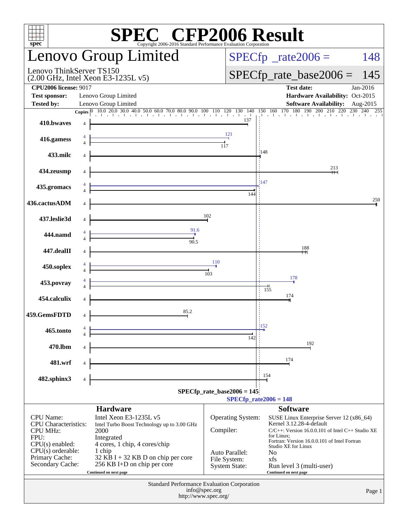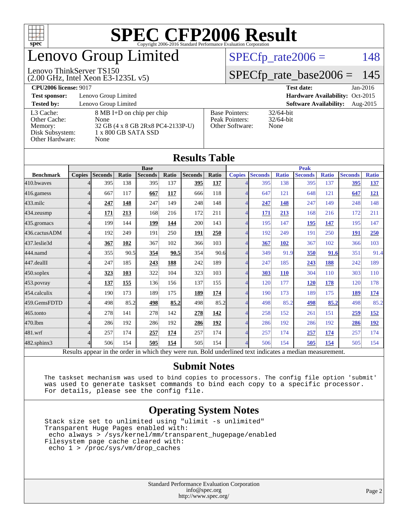

## enovo Group Limited

#### (2.00 GHz, Intel Xeon E3-1235L v5) Lenovo ThinkServer TS150

 $SPECTp_rate2006 = 148$ 

### [SPECfp\\_rate\\_base2006 =](http://www.spec.org/auto/cpu2006/Docs/result-fields.html#SPECfpratebase2006) 145

**[CPU2006 license:](http://www.spec.org/auto/cpu2006/Docs/result-fields.html#CPU2006license)** 9017 **[Test date:](http://www.spec.org/auto/cpu2006/Docs/result-fields.html#Testdate)** Jan-2016

**[Test sponsor:](http://www.spec.org/auto/cpu2006/Docs/result-fields.html#Testsponsor)** Lenovo Group Limited **[Hardware Availability:](http://www.spec.org/auto/cpu2006/Docs/result-fields.html#HardwareAvailability)** Oct-2015

**[Tested by:](http://www.spec.org/auto/cpu2006/Docs/result-fields.html#Testedby)** Lenovo Group Limited **[Software Availability:](http://www.spec.org/auto/cpu2006/Docs/result-fields.html#SoftwareAvailability)** Aug-2015

[L3 Cache:](http://www.spec.org/auto/cpu2006/Docs/result-fields.html#L3Cache) 8 MB I+D on chip per chip<br>Other Cache: None [Other Cache:](http://www.spec.org/auto/cpu2006/Docs/result-fields.html#OtherCache) [Memory:](http://www.spec.org/auto/cpu2006/Docs/result-fields.html#Memory) 32 GB (4 x 8 GB 2Rx8 PC4-2133P-U) [Disk Subsystem:](http://www.spec.org/auto/cpu2006/Docs/result-fields.html#DiskSubsystem) 1 x 800 GB SATA SSD [Other Hardware:](http://www.spec.org/auto/cpu2006/Docs/result-fields.html#OtherHardware) None

| <b>Base Pointers:</b><br>Peak Pointers:<br>Other Software: | $32/64$ -bit<br>$32/64$ -bit<br>None |
|------------------------------------------------------------|--------------------------------------|
|                                                            |                                      |
|                                                            |                                      |

None

| <b>Results Table</b> |               |                                                                                                          |       |                |       |                |       |                          |                |              |                |              |                |              |
|----------------------|---------------|----------------------------------------------------------------------------------------------------------|-------|----------------|-------|----------------|-------|--------------------------|----------------|--------------|----------------|--------------|----------------|--------------|
|                      | <b>Base</b>   |                                                                                                          |       |                |       |                |       | <b>Peak</b>              |                |              |                |              |                |              |
| <b>Benchmark</b>     | <b>Copies</b> | <b>Seconds</b>                                                                                           | Ratio | <b>Seconds</b> | Ratio | <b>Seconds</b> | Ratio | <b>Copies</b>            | <b>Seconds</b> | <b>Ratio</b> | <b>Seconds</b> | <b>Ratio</b> | <b>Seconds</b> | <b>Ratio</b> |
| 410.bwayes           |               | 395                                                                                                      | 138   | 395            | 137   | 395            | 137   | Δ                        | 395            | 138          | 395            | 137          | 395            | 137          |
| 416.gamess           | 4             | 667                                                                                                      | 117   | 667            | 117   | 666            | 118   | 4                        | 647            | 121          | 648            | 121          | 647            | 121          |
| $433$ .milc          | 4             | 247                                                                                                      | 148   | 247            | 149   | 248            | 148   | 4                        | 247            | 148          | 247            | 149          | 248            | 148          |
| 434.zeusmp           | Δ             | 171                                                                                                      | 213   | 168            | 216   | 172            | 211   | $\overline{4}$           | <u>171</u>     | 213          | 168            | 216          | 172            | 211          |
| 435.gromacs          |               | 199                                                                                                      | 144   | 199            | 144   | 200            | 143   | $\overline{\mathcal{A}}$ | 195            | 147          | 195            | 147          | 195            | 147          |
| 436.cactusADM        | 4             | 192                                                                                                      | 249   | 191            | 250   | 191            | 250   | 4                        | 192            | 249          | 191            | 250          | 191            | 250          |
| 437.leslie3d         | Δ             | 367                                                                                                      | 102   | 367            | 102   | 366            | 103   | $\overline{4}$           | 367            | 102          | 367            | 102          | 366            | 103          |
| 444.namd             | 4             | 355                                                                                                      | 90.5  | 354            | 90.5  | 354            | 90.6  | $\overline{4}$           | 349            | 91.9         | 350            | 91.6         | 351            | 91.4         |
| 447.dealII           | 4             | 247                                                                                                      | 185   | 243            | 188   | 242            | 189   | $\overline{\mathcal{A}}$ | 247            | 185          | 243            | 188          | 242            | 189          |
| $450$ .soplex        |               | 323                                                                                                      | 103   | 322            | 104   | 323            | 103   | $\overline{4}$           | <b>303</b>     | <b>110</b>   | 304            | 110          | 303            | 110          |
| 453.povray           |               | 137                                                                                                      | 155   | 136            | 156   | 137            | 155   | $\overline{4}$           | 120            | 177          | 120            | 178          | 120            | 178          |
| 454.calculix         | Δ             | 190                                                                                                      | 173   | 189            | 175   | 189            | 174   | 4                        | 190            | 173          | 189            | 175          | 189            | <u>174</u>   |
| 459.GemsFDTD         | Δ             | 498                                                                                                      | 85.2  | 498            | 85.2  | 498            | 85.2  | 4                        | 498            | 85.2         | 498            | 85.2         | 498            | 85.2         |
| 465.tonto            | Δ             | 278                                                                                                      | 141   | 278            | 142   | 278            | 142   | 4                        | 258            | 152          | 261            | 151          | 259            | 152          |
| 470.1bm              |               | 286                                                                                                      | 192   | 286            | 192   | 286            | 192   | $\overline{4}$           | 286            | 192          | 286            | 192          | 286            | 192          |
| 481.wrf              | 4             | 257                                                                                                      | 174   | 257            | 174   | 257            | 174   | 4                        | 257            | 174          | 257            | 174          | 257            | 174          |
| 482.sphinx3          | 4             | 506                                                                                                      | 154   | 505            | 154   | 505            | 154   | $\overline{\mathcal{A}}$ | 506            | 154          | 505            | 154          | 505            | 154          |
|                      |               | Results appear in the order in which they were run. Bold underlined text indicates a median measurement. |       |                |       |                |       |                          |                |              |                |              |                |              |

#### **[Submit Notes](http://www.spec.org/auto/cpu2006/Docs/result-fields.html#SubmitNotes)**

 The taskset mechanism was used to bind copies to processors. The config file option 'submit' was used to generate taskset commands to bind each copy to a specific processor. For details, please see the config file.

#### **[Operating System Notes](http://www.spec.org/auto/cpu2006/Docs/result-fields.html#OperatingSystemNotes)**

 Stack size set to unlimited using "ulimit -s unlimited" Transparent Huge Pages enabled with: echo always > /sys/kernel/mm/transparent\_hugepage/enabled Filesystem page cache cleared with: echo 1 > /proc/sys/vm/drop\_caches

> Standard Performance Evaluation Corporation [info@spec.org](mailto:info@spec.org) <http://www.spec.org/>

#### Page 2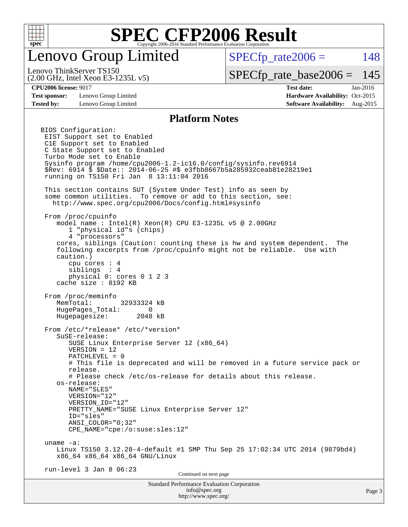

### enovo Group Limited

 $SPECTp\_rate2006 = 148$ 

(2.00 GHz, Intel Xeon E3-1235L v5) Lenovo ThinkServer TS150

[SPECfp\\_rate\\_base2006 =](http://www.spec.org/auto/cpu2006/Docs/result-fields.html#SPECfpratebase2006) 145

**[Test sponsor:](http://www.spec.org/auto/cpu2006/Docs/result-fields.html#Testsponsor)** Lenovo Group Limited **[Hardware Availability:](http://www.spec.org/auto/cpu2006/Docs/result-fields.html#HardwareAvailability)** Oct-2015

**[CPU2006 license:](http://www.spec.org/auto/cpu2006/Docs/result-fields.html#CPU2006license)** 9017 **[Test date:](http://www.spec.org/auto/cpu2006/Docs/result-fields.html#Testdate)** Jan-2016 **[Tested by:](http://www.spec.org/auto/cpu2006/Docs/result-fields.html#Testedby)** Lenovo Group Limited **[Software Availability:](http://www.spec.org/auto/cpu2006/Docs/result-fields.html#SoftwareAvailability)** Aug-2015

#### **[Platform Notes](http://www.spec.org/auto/cpu2006/Docs/result-fields.html#PlatformNotes)**

Standard Performance Evaluation Corporation [info@spec.org](mailto:info@spec.org) BIOS Configuration: EIST Support set to Enabled C1E Support set to Enabled C State Support set to Enabled Turbo Mode set to Enable Sysinfo program /home/cpu2006-1.2-ic16.0/config/sysinfo.rev6914 \$Rev: 6914 \$ \$Date:: 2014-06-25 #\$ e3fbb8667b5a285932ceab81e28219e1 running on TS150 Fri Jan 8 13:11:04 2016 This section contains SUT (System Under Test) info as seen by some common utilities. To remove or add to this section, see: <http://www.spec.org/cpu2006/Docs/config.html#sysinfo> From /proc/cpuinfo model name : Intel(R) Xeon(R) CPU E3-1235L v5 @ 2.00GHz 1 "physical id"s (chips) 4 "processors" cores, siblings (Caution: counting these is hw and system dependent. The following excerpts from /proc/cpuinfo might not be reliable. Use with caution.) cpu cores : 4 siblings : 4 physical 0: cores 0 1 2 3 cache size : 8192 KB From /proc/meminfo MemTotal: 32933324 kB HugePages\_Total: 0<br>Hugepagesize: 2048 kB Hugepagesize: From /etc/\*release\* /etc/\*version\* SuSE-release: SUSE Linux Enterprise Server 12 (x86\_64) VERSION = 12 PATCHLEVEL = 0 # This file is deprecated and will be removed in a future service pack or release. # Please check /etc/os-release for details about this release. os-release: NAME="SLES" VERSION="12" VERSION\_ID="12" PRETTY\_NAME="SUSE Linux Enterprise Server 12" ID="sles" ANSI\_COLOR="0;32" CPE\_NAME="cpe:/o:suse:sles:12" uname -a: Linux TS150 3.12.28-4-default #1 SMP Thu Sep 25 17:02:34 UTC 2014 (9879bd4) x86\_64 x86\_64 x86\_64 GNU/Linux run-level 3 Jan 8 06:23 Continued on next page

<http://www.spec.org/>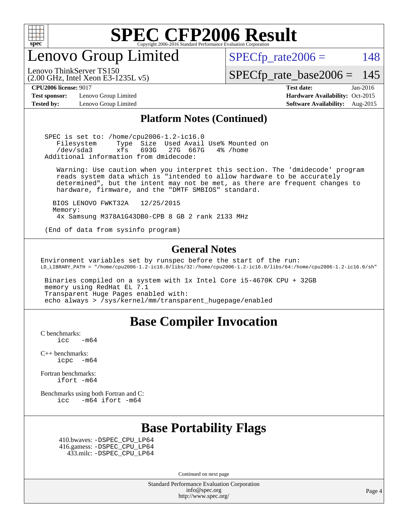

enovo Group Limited

 $SPECTp_rate2006 = 148$ 

[SPECfp\\_rate\\_base2006 =](http://www.spec.org/auto/cpu2006/Docs/result-fields.html#SPECfpratebase2006) 145

Lenovo ThinkServer TS150

**[Test sponsor:](http://www.spec.org/auto/cpu2006/Docs/result-fields.html#Testsponsor)** Lenovo Group Limited **[Hardware Availability:](http://www.spec.org/auto/cpu2006/Docs/result-fields.html#HardwareAvailability)** Oct-2015

(2.00 GHz, Intel Xeon E3-1235L v5)

**[CPU2006 license:](http://www.spec.org/auto/cpu2006/Docs/result-fields.html#CPU2006license)** 9017 **[Test date:](http://www.spec.org/auto/cpu2006/Docs/result-fields.html#Testdate)** Jan-2016 **[Tested by:](http://www.spec.org/auto/cpu2006/Docs/result-fields.html#Testedby)** Lenovo Group Limited **[Software Availability:](http://www.spec.org/auto/cpu2006/Docs/result-fields.html#SoftwareAvailability)** Aug-2015

#### **[Platform Notes \(Continued\)](http://www.spec.org/auto/cpu2006/Docs/result-fields.html#PlatformNotes)**

 SPEC is set to: /home/cpu2006-1.2-ic16.0 Filesystem Type Size Used Avail Use% Mounted on /dev/sda3 xfs 693G 27G 667G 4% /home Additional information from dmidecode:

 Warning: Use caution when you interpret this section. The 'dmidecode' program reads system data which is "intended to allow hardware to be accurately determined", but the intent may not be met, as there are frequent changes to hardware, firmware, and the "DMTF SMBIOS" standard.

 BIOS LENOVO FWKT32A 12/25/2015 Memory: 4x Samsung M378A1G43DB0-CPB 8 GB 2 rank 2133 MHz

(End of data from sysinfo program)

#### **[General Notes](http://www.spec.org/auto/cpu2006/Docs/result-fields.html#GeneralNotes)**

Environment variables set by runspec before the start of the run: LD\_LIBRARY\_PATH = "/home/cpu2006-1.2-ic16.0/libs/32:/home/cpu2006-1.2-ic16.0/libs/64:/home/cpu2006-1.2-ic16.0/sh"

 Binaries compiled on a system with 1x Intel Core i5-4670K CPU + 32GB memory using RedHat EL 7.1 Transparent Huge Pages enabled with: echo always > /sys/kernel/mm/transparent\_hugepage/enabled

### **[Base Compiler Invocation](http://www.spec.org/auto/cpu2006/Docs/result-fields.html#BaseCompilerInvocation)**

[C benchmarks](http://www.spec.org/auto/cpu2006/Docs/result-fields.html#Cbenchmarks):  $\text{icc}$  -m64

[C++ benchmarks:](http://www.spec.org/auto/cpu2006/Docs/result-fields.html#CXXbenchmarks) [icpc -m64](http://www.spec.org/cpu2006/results/res2016q1/cpu2006-20160125-38857.flags.html#user_CXXbase_intel_icpc_64bit_bedb90c1146cab66620883ef4f41a67e)

[Fortran benchmarks](http://www.spec.org/auto/cpu2006/Docs/result-fields.html#Fortranbenchmarks): [ifort -m64](http://www.spec.org/cpu2006/results/res2016q1/cpu2006-20160125-38857.flags.html#user_FCbase_intel_ifort_64bit_ee9d0fb25645d0210d97eb0527dcc06e)

[Benchmarks using both Fortran and C](http://www.spec.org/auto/cpu2006/Docs/result-fields.html#BenchmarksusingbothFortranandC): [icc -m64](http://www.spec.org/cpu2006/results/res2016q1/cpu2006-20160125-38857.flags.html#user_CC_FCbase_intel_icc_64bit_0b7121f5ab7cfabee23d88897260401c) [ifort -m64](http://www.spec.org/cpu2006/results/res2016q1/cpu2006-20160125-38857.flags.html#user_CC_FCbase_intel_ifort_64bit_ee9d0fb25645d0210d97eb0527dcc06e)

### **[Base Portability Flags](http://www.spec.org/auto/cpu2006/Docs/result-fields.html#BasePortabilityFlags)**

 410.bwaves: [-DSPEC\\_CPU\\_LP64](http://www.spec.org/cpu2006/results/res2016q1/cpu2006-20160125-38857.flags.html#suite_basePORTABILITY410_bwaves_DSPEC_CPU_LP64) 416.gamess: [-DSPEC\\_CPU\\_LP64](http://www.spec.org/cpu2006/results/res2016q1/cpu2006-20160125-38857.flags.html#suite_basePORTABILITY416_gamess_DSPEC_CPU_LP64) 433.milc: [-DSPEC\\_CPU\\_LP64](http://www.spec.org/cpu2006/results/res2016q1/cpu2006-20160125-38857.flags.html#suite_basePORTABILITY433_milc_DSPEC_CPU_LP64)

Continued on next page

Standard Performance Evaluation Corporation [info@spec.org](mailto:info@spec.org) <http://www.spec.org/>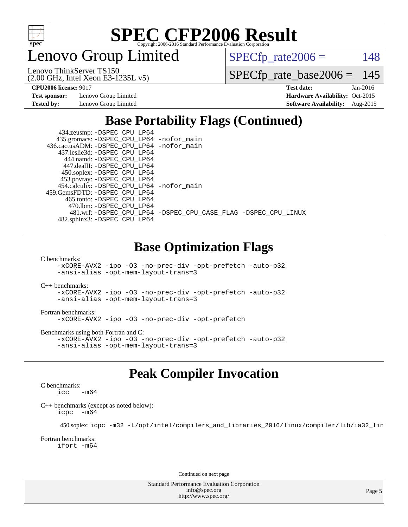

Lenovo Group Limited

 $SPECTp_rate2006 = 148$ 

(2.00 GHz, Intel Xeon E3-1235L v5) Lenovo ThinkServer TS150

[SPECfp\\_rate\\_base2006 =](http://www.spec.org/auto/cpu2006/Docs/result-fields.html#SPECfpratebase2006) 145

**[Test sponsor:](http://www.spec.org/auto/cpu2006/Docs/result-fields.html#Testsponsor)** Lenovo Group Limited **[Hardware Availability:](http://www.spec.org/auto/cpu2006/Docs/result-fields.html#HardwareAvailability)** Oct-2015

**[CPU2006 license:](http://www.spec.org/auto/cpu2006/Docs/result-fields.html#CPU2006license)** 9017 **[Test date:](http://www.spec.org/auto/cpu2006/Docs/result-fields.html#Testdate)** Jan-2016 **[Tested by:](http://www.spec.org/auto/cpu2006/Docs/result-fields.html#Testedby)** Lenovo Group Limited **[Software Availability:](http://www.spec.org/auto/cpu2006/Docs/result-fields.html#SoftwareAvailability)** Aug-2015

### **[Base Portability Flags \(Continued\)](http://www.spec.org/auto/cpu2006/Docs/result-fields.html#BasePortabilityFlags)**

 434.zeusmp: [-DSPEC\\_CPU\\_LP64](http://www.spec.org/cpu2006/results/res2016q1/cpu2006-20160125-38857.flags.html#suite_basePORTABILITY434_zeusmp_DSPEC_CPU_LP64) 435.gromacs: [-DSPEC\\_CPU\\_LP64](http://www.spec.org/cpu2006/results/res2016q1/cpu2006-20160125-38857.flags.html#suite_basePORTABILITY435_gromacs_DSPEC_CPU_LP64) [-nofor\\_main](http://www.spec.org/cpu2006/results/res2016q1/cpu2006-20160125-38857.flags.html#user_baseLDPORTABILITY435_gromacs_f-nofor_main) 436.cactusADM: [-DSPEC\\_CPU\\_LP64](http://www.spec.org/cpu2006/results/res2016q1/cpu2006-20160125-38857.flags.html#suite_basePORTABILITY436_cactusADM_DSPEC_CPU_LP64) [-nofor\\_main](http://www.spec.org/cpu2006/results/res2016q1/cpu2006-20160125-38857.flags.html#user_baseLDPORTABILITY436_cactusADM_f-nofor_main) 437.leslie3d: [-DSPEC\\_CPU\\_LP64](http://www.spec.org/cpu2006/results/res2016q1/cpu2006-20160125-38857.flags.html#suite_basePORTABILITY437_leslie3d_DSPEC_CPU_LP64) 444.namd: [-DSPEC\\_CPU\\_LP64](http://www.spec.org/cpu2006/results/res2016q1/cpu2006-20160125-38857.flags.html#suite_basePORTABILITY444_namd_DSPEC_CPU_LP64) 447.dealII: [-DSPEC\\_CPU\\_LP64](http://www.spec.org/cpu2006/results/res2016q1/cpu2006-20160125-38857.flags.html#suite_basePORTABILITY447_dealII_DSPEC_CPU_LP64) 450.soplex: [-DSPEC\\_CPU\\_LP64](http://www.spec.org/cpu2006/results/res2016q1/cpu2006-20160125-38857.flags.html#suite_basePORTABILITY450_soplex_DSPEC_CPU_LP64) 453.povray: [-DSPEC\\_CPU\\_LP64](http://www.spec.org/cpu2006/results/res2016q1/cpu2006-20160125-38857.flags.html#suite_basePORTABILITY453_povray_DSPEC_CPU_LP64) 454.calculix: [-DSPEC\\_CPU\\_LP64](http://www.spec.org/cpu2006/results/res2016q1/cpu2006-20160125-38857.flags.html#suite_basePORTABILITY454_calculix_DSPEC_CPU_LP64) [-nofor\\_main](http://www.spec.org/cpu2006/results/res2016q1/cpu2006-20160125-38857.flags.html#user_baseLDPORTABILITY454_calculix_f-nofor_main) 459.GemsFDTD: [-DSPEC\\_CPU\\_LP64](http://www.spec.org/cpu2006/results/res2016q1/cpu2006-20160125-38857.flags.html#suite_basePORTABILITY459_GemsFDTD_DSPEC_CPU_LP64) 465.tonto: [-DSPEC\\_CPU\\_LP64](http://www.spec.org/cpu2006/results/res2016q1/cpu2006-20160125-38857.flags.html#suite_basePORTABILITY465_tonto_DSPEC_CPU_LP64) 470.lbm: [-DSPEC\\_CPU\\_LP64](http://www.spec.org/cpu2006/results/res2016q1/cpu2006-20160125-38857.flags.html#suite_basePORTABILITY470_lbm_DSPEC_CPU_LP64) 481.wrf: [-DSPEC\\_CPU\\_LP64](http://www.spec.org/cpu2006/results/res2016q1/cpu2006-20160125-38857.flags.html#suite_basePORTABILITY481_wrf_DSPEC_CPU_LP64) [-DSPEC\\_CPU\\_CASE\\_FLAG](http://www.spec.org/cpu2006/results/res2016q1/cpu2006-20160125-38857.flags.html#b481.wrf_baseCPORTABILITY_DSPEC_CPU_CASE_FLAG) [-DSPEC\\_CPU\\_LINUX](http://www.spec.org/cpu2006/results/res2016q1/cpu2006-20160125-38857.flags.html#b481.wrf_baseCPORTABILITY_DSPEC_CPU_LINUX) 482.sphinx3: [-DSPEC\\_CPU\\_LP64](http://www.spec.org/cpu2006/results/res2016q1/cpu2006-20160125-38857.flags.html#suite_basePORTABILITY482_sphinx3_DSPEC_CPU_LP64)

### **[Base Optimization Flags](http://www.spec.org/auto/cpu2006/Docs/result-fields.html#BaseOptimizationFlags)**

[C benchmarks](http://www.spec.org/auto/cpu2006/Docs/result-fields.html#Cbenchmarks):

[-xCORE-AVX2](http://www.spec.org/cpu2006/results/res2016q1/cpu2006-20160125-38857.flags.html#user_CCbase_f-xAVX2_5f5fc0cbe2c9f62c816d3e45806c70d7) [-ipo](http://www.spec.org/cpu2006/results/res2016q1/cpu2006-20160125-38857.flags.html#user_CCbase_f-ipo) [-O3](http://www.spec.org/cpu2006/results/res2016q1/cpu2006-20160125-38857.flags.html#user_CCbase_f-O3) [-no-prec-div](http://www.spec.org/cpu2006/results/res2016q1/cpu2006-20160125-38857.flags.html#user_CCbase_f-no-prec-div) [-opt-prefetch](http://www.spec.org/cpu2006/results/res2016q1/cpu2006-20160125-38857.flags.html#user_CCbase_f-opt-prefetch) [-auto-p32](http://www.spec.org/cpu2006/results/res2016q1/cpu2006-20160125-38857.flags.html#user_CCbase_f-auto-p32) [-ansi-alias](http://www.spec.org/cpu2006/results/res2016q1/cpu2006-20160125-38857.flags.html#user_CCbase_f-ansi-alias) [-opt-mem-layout-trans=3](http://www.spec.org/cpu2006/results/res2016q1/cpu2006-20160125-38857.flags.html#user_CCbase_f-opt-mem-layout-trans_a7b82ad4bd7abf52556d4961a2ae94d5)

[C++ benchmarks:](http://www.spec.org/auto/cpu2006/Docs/result-fields.html#CXXbenchmarks)

[-xCORE-AVX2](http://www.spec.org/cpu2006/results/res2016q1/cpu2006-20160125-38857.flags.html#user_CXXbase_f-xAVX2_5f5fc0cbe2c9f62c816d3e45806c70d7) [-ipo](http://www.spec.org/cpu2006/results/res2016q1/cpu2006-20160125-38857.flags.html#user_CXXbase_f-ipo) [-O3](http://www.spec.org/cpu2006/results/res2016q1/cpu2006-20160125-38857.flags.html#user_CXXbase_f-O3) [-no-prec-div](http://www.spec.org/cpu2006/results/res2016q1/cpu2006-20160125-38857.flags.html#user_CXXbase_f-no-prec-div) [-opt-prefetch](http://www.spec.org/cpu2006/results/res2016q1/cpu2006-20160125-38857.flags.html#user_CXXbase_f-opt-prefetch) [-auto-p32](http://www.spec.org/cpu2006/results/res2016q1/cpu2006-20160125-38857.flags.html#user_CXXbase_f-auto-p32) [-ansi-alias](http://www.spec.org/cpu2006/results/res2016q1/cpu2006-20160125-38857.flags.html#user_CXXbase_f-ansi-alias) [-opt-mem-layout-trans=3](http://www.spec.org/cpu2006/results/res2016q1/cpu2006-20160125-38857.flags.html#user_CXXbase_f-opt-mem-layout-trans_a7b82ad4bd7abf52556d4961a2ae94d5)

#### [Fortran benchmarks](http://www.spec.org/auto/cpu2006/Docs/result-fields.html#Fortranbenchmarks):

[-xCORE-AVX2](http://www.spec.org/cpu2006/results/res2016q1/cpu2006-20160125-38857.flags.html#user_FCbase_f-xAVX2_5f5fc0cbe2c9f62c816d3e45806c70d7) [-ipo](http://www.spec.org/cpu2006/results/res2016q1/cpu2006-20160125-38857.flags.html#user_FCbase_f-ipo) [-O3](http://www.spec.org/cpu2006/results/res2016q1/cpu2006-20160125-38857.flags.html#user_FCbase_f-O3) [-no-prec-div](http://www.spec.org/cpu2006/results/res2016q1/cpu2006-20160125-38857.flags.html#user_FCbase_f-no-prec-div) [-opt-prefetch](http://www.spec.org/cpu2006/results/res2016q1/cpu2006-20160125-38857.flags.html#user_FCbase_f-opt-prefetch)

[Benchmarks using both Fortran and C](http://www.spec.org/auto/cpu2006/Docs/result-fields.html#BenchmarksusingbothFortranandC):

[-xCORE-AVX2](http://www.spec.org/cpu2006/results/res2016q1/cpu2006-20160125-38857.flags.html#user_CC_FCbase_f-xAVX2_5f5fc0cbe2c9f62c816d3e45806c70d7) [-ipo](http://www.spec.org/cpu2006/results/res2016q1/cpu2006-20160125-38857.flags.html#user_CC_FCbase_f-ipo) [-O3](http://www.spec.org/cpu2006/results/res2016q1/cpu2006-20160125-38857.flags.html#user_CC_FCbase_f-O3) [-no-prec-div](http://www.spec.org/cpu2006/results/res2016q1/cpu2006-20160125-38857.flags.html#user_CC_FCbase_f-no-prec-div) [-opt-prefetch](http://www.spec.org/cpu2006/results/res2016q1/cpu2006-20160125-38857.flags.html#user_CC_FCbase_f-opt-prefetch) [-auto-p32](http://www.spec.org/cpu2006/results/res2016q1/cpu2006-20160125-38857.flags.html#user_CC_FCbase_f-auto-p32) [-ansi-alias](http://www.spec.org/cpu2006/results/res2016q1/cpu2006-20160125-38857.flags.html#user_CC_FCbase_f-ansi-alias) [-opt-mem-layout-trans=3](http://www.spec.org/cpu2006/results/res2016q1/cpu2006-20160125-38857.flags.html#user_CC_FCbase_f-opt-mem-layout-trans_a7b82ad4bd7abf52556d4961a2ae94d5)

### **[Peak Compiler Invocation](http://www.spec.org/auto/cpu2006/Docs/result-fields.html#PeakCompilerInvocation)**

#### [C benchmarks](http://www.spec.org/auto/cpu2006/Docs/result-fields.html#Cbenchmarks):

 $\frac{1}{2}$ cc  $-\text{m64}$ 

[C++ benchmarks \(except as noted below\):](http://www.spec.org/auto/cpu2006/Docs/result-fields.html#CXXbenchmarksexceptasnotedbelow) [icpc -m64](http://www.spec.org/cpu2006/results/res2016q1/cpu2006-20160125-38857.flags.html#user_CXXpeak_intel_icpc_64bit_bedb90c1146cab66620883ef4f41a67e)

450.soplex: [icpc -m32 -L/opt/intel/compilers\\_and\\_libraries\\_2016/linux/compiler/lib/ia32\\_lin](http://www.spec.org/cpu2006/results/res2016q1/cpu2006-20160125-38857.flags.html#user_peakCXXLD450_soplex_intel_icpc_b4f50a394bdb4597aa5879c16bc3f5c5)

#### [Fortran benchmarks](http://www.spec.org/auto/cpu2006/Docs/result-fields.html#Fortranbenchmarks): [ifort -m64](http://www.spec.org/cpu2006/results/res2016q1/cpu2006-20160125-38857.flags.html#user_FCpeak_intel_ifort_64bit_ee9d0fb25645d0210d97eb0527dcc06e)

Continued on next page

Standard Performance Evaluation Corporation [info@spec.org](mailto:info@spec.org) <http://www.spec.org/>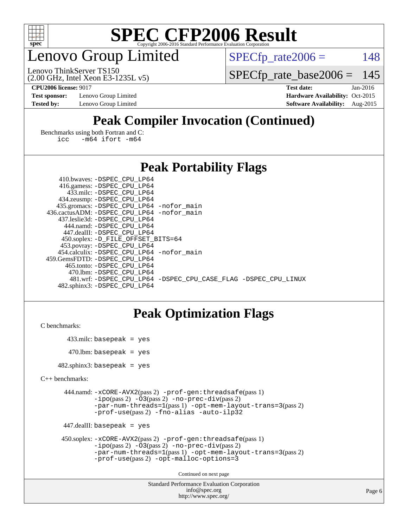

## enovo Group Limited

 $SPECTp_rate2006 = 148$ 

(2.00 GHz, Intel Xeon E3-1235L v5) Lenovo ThinkServer TS150

[SPECfp\\_rate\\_base2006 =](http://www.spec.org/auto/cpu2006/Docs/result-fields.html#SPECfpratebase2006) 145

**[Test sponsor:](http://www.spec.org/auto/cpu2006/Docs/result-fields.html#Testsponsor)** Lenovo Group Limited **[Hardware Availability:](http://www.spec.org/auto/cpu2006/Docs/result-fields.html#HardwareAvailability)** Oct-2015

**[CPU2006 license:](http://www.spec.org/auto/cpu2006/Docs/result-fields.html#CPU2006license)** 9017 **[Test date:](http://www.spec.org/auto/cpu2006/Docs/result-fields.html#Testdate)** Jan-2016 **[Tested by:](http://www.spec.org/auto/cpu2006/Docs/result-fields.html#Testedby)** Lenovo Group Limited **[Software Availability:](http://www.spec.org/auto/cpu2006/Docs/result-fields.html#SoftwareAvailability)** Aug-2015

### **[Peak Compiler Invocation \(Continued\)](http://www.spec.org/auto/cpu2006/Docs/result-fields.html#PeakCompilerInvocation)**

[Benchmarks using both Fortran and C](http://www.spec.org/auto/cpu2006/Docs/result-fields.html#BenchmarksusingbothFortranandC): [icc -m64](http://www.spec.org/cpu2006/results/res2016q1/cpu2006-20160125-38857.flags.html#user_CC_FCpeak_intel_icc_64bit_0b7121f5ab7cfabee23d88897260401c) [ifort -m64](http://www.spec.org/cpu2006/results/res2016q1/cpu2006-20160125-38857.flags.html#user_CC_FCpeak_intel_ifort_64bit_ee9d0fb25645d0210d97eb0527dcc06e)

### **[Peak Portability Flags](http://www.spec.org/auto/cpu2006/Docs/result-fields.html#PeakPortabilityFlags)**

| 410.bwaves: -DSPEC CPU LP64                 |                                                                |
|---------------------------------------------|----------------------------------------------------------------|
| 416.gamess: -DSPEC_CPU_LP64                 |                                                                |
| 433.milc: -DSPEC CPU LP64                   |                                                                |
| 434.zeusmp: -DSPEC_CPU_LP64                 |                                                                |
| 435.gromacs: -DSPEC_CPU_LP64 -nofor_main    |                                                                |
| 436.cactusADM: -DSPEC CPU LP64 -nofor main  |                                                                |
| 437.leslie3d: -DSPEC CPU LP64               |                                                                |
| 444.namd: - DSPEC_CPU LP64                  |                                                                |
| 447.dealII: -DSPEC CPU LP64                 |                                                                |
| 450.soplex: -D_FILE_OFFSET_BITS=64          |                                                                |
| 453.povray: -DSPEC_CPU_LP64                 |                                                                |
| 454.calculix: - DSPEC CPU LP64 - nofor main |                                                                |
| 459.GemsFDTD: -DSPEC CPU LP64               |                                                                |
| 465.tonto: - DSPEC CPU LP64                 |                                                                |
| 470.1bm: - DSPEC CPU LP64                   |                                                                |
|                                             | 481.wrf: -DSPEC CPU LP64 -DSPEC CPU CASE FLAG -DSPEC CPU LINUX |
| 482.sphinx3: -DSPEC CPU LP64                |                                                                |

### **[Peak Optimization Flags](http://www.spec.org/auto/cpu2006/Docs/result-fields.html#PeakOptimizationFlags)**

```
C benchmarks:
```

```
 433.milc: basepeak = yes
470.lbm: basepeak = yes
```
482.sphinx3: basepeak = yes

```
C++ benchmarks:
```

```
 444.namd: -xCORE-AVX2(pass 2) -prof-gen:threadsafe(pass 1)
         -i\text{po}(pass 2) -\overline{O}3(pass 2)-no-prec-div(pass 2)
         -par-num-threads=1(pass 1) -opt-mem-layout-trans=3(pass 2)
         -prof-use(pass 2) -fno-alias -auto-ilp32
```

```
 447.dealII: basepeak = yes
```

```
 450.soplex: -xCORE-AVX2(pass 2) -prof-gen:threadsafe(pass 1)
         -ipo(pass 2) -O3(pass 2) -no-prec-div(pass 2)
         -par-num-threads=1(pass 1) -opt-mem-layout-trans=3(pass 2)
         -prof-use(pass 2) -opt-malloc-options=3
```
Continued on next page

```
Standard Performance Evaluation Corporation
              info@spec.org
           http://www.spec.org/
```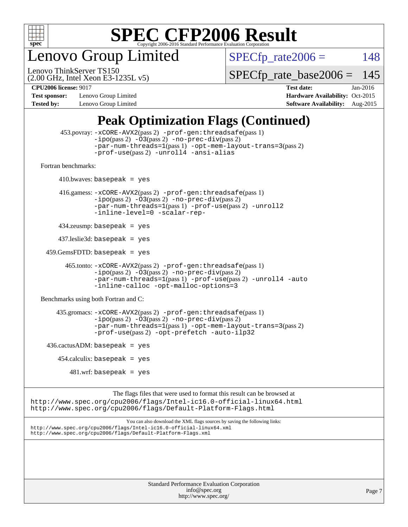

enovo Group Limited

 $SPECTp_rate2006 = 148$ 

(2.00 GHz, Intel Xeon E3-1235L v5) Lenovo ThinkServer TS150

[SPECfp\\_rate\\_base2006 =](http://www.spec.org/auto/cpu2006/Docs/result-fields.html#SPECfpratebase2006) 145

**[Test sponsor:](http://www.spec.org/auto/cpu2006/Docs/result-fields.html#Testsponsor)** Lenovo Group Limited **[Hardware Availability:](http://www.spec.org/auto/cpu2006/Docs/result-fields.html#HardwareAvailability)** Oct-2015 **[Tested by:](http://www.spec.org/auto/cpu2006/Docs/result-fields.html#Testedby)** Lenovo Group Limited **[Software Availability:](http://www.spec.org/auto/cpu2006/Docs/result-fields.html#SoftwareAvailability)** Aug-2015

**[CPU2006 license:](http://www.spec.org/auto/cpu2006/Docs/result-fields.html#CPU2006license)** 9017 **[Test date:](http://www.spec.org/auto/cpu2006/Docs/result-fields.html#Testdate)** Jan-2016

### **[Peak Optimization Flags \(Continued\)](http://www.spec.org/auto/cpu2006/Docs/result-fields.html#PeakOptimizationFlags)**

```
 453.povray: -xCORE-AVX2(pass 2) -prof-gen:threadsafe(pass 1)
                   -i\text{po}(pass 2) -\overset{\sim}{O}3(pass 2)-no-prec-div(pass 2)
                   -par-num-threads=1(pass 1) -opt-mem-layout-trans=3(pass 2)
                   -prof-use(pass 2) -unroll4 -ansi-alias
   Fortran benchmarks: 
        410.bwaves: basepeak = yes 416.gamess: -xCORE-AVX2(pass 2) -prof-gen:threadsafe(pass 1)
                   -ipo(pass 2) -O3(pass 2) -no-prec-div(pass 2)
                   -par-num-threads=1(pass 1) -prof-use(pass 2) -unroll2
                   -inline-level=0 -scalar-rep-
         434.zeusmp: basepeak = yes
         437.leslie3d: basepeak = yes
     459.GemsFDTD: basepeak = yes
           465.tonto: -xCORE-AVX2(pass 2) -prof-gen:threadsafe(pass 1)
                   -i\text{po}(pass 2) -03(pass 2)-no-prec-div(pass 2)
                   -par-num-threads=1(pass 1) -prof-use(pass 2) -unroll4 -auto
                   -inline-calloc -opt-malloc-options=3
   Benchmarks using both Fortran and C: 
         435.gromacs: -xCORE-AVX2(pass 2) -prof-gen:threadsafe(pass 1)
                   -i\text{po}(pass 2) -\tilde{O}3(pass 2)-no-prec-div(pass 2)
                   -par-num-threads=1(pass 1) -opt-mem-layout-trans=3(pass 2)
                   -prof-use(pass 2) -opt-prefetch -auto-ilp32
    436.cactusADM:basepeak = yes454.calculix: basepeak = yes
            481 \text{.m}: basepeak = yes
                         The flags files that were used to format this result can be browsed at
http://www.spec.org/cpu2006/flags/Intel-ic16.0-official-linux64.html
http://www.spec.org/cpu2006/flags/Default-Platform-Flags.html
                             You can also download the XML flags sources by saving the following links:
http://www.spec.org/cpu2006/flags/Intel-ic16.0-official-linux64.xml
http://www.spec.org/cpu2006/flags/Default-Platform-Flags.xml
```